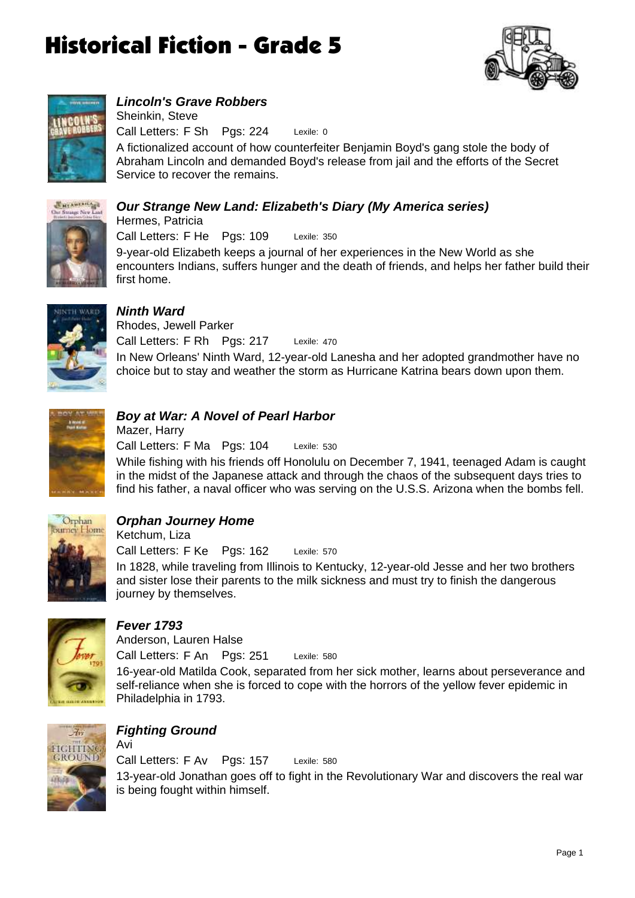



## *Lincoln's Grave Robbers*

Lexile: 0 Call Letters: F Sh Pgs: 224 Sheinkin, Steve

A fictionalized account of how counterfeiter Benjamin Boyd's gang stole the body of Abraham Lincoln and demanded Boyd's release from jail and the efforts of the Secret Service to recover the remains.

#### *Our Strange New Land: Elizabeth's Diary (My America series)* Hermes, Patricia



Lexile: 350 9-year-old Elizabeth keeps a journal of her experiences in the New World as she encounters Indians, suffers hunger and the death of friends, and helps her father build their first home. Call Letters: F He Pgs: 109

![](_page_0_Picture_9.jpeg)

### *Ninth Ward*

Lexile: 470 In New Orleans' Ninth Ward, 12-year-old Lanesha and her adopted grandmother have no choice but to stay and weather the storm as Hurricane Katrina bears down upon them. Call Letters: F Rh Pgs: 217 Rhodes, Jewell Parker

![](_page_0_Picture_12.jpeg)

#### *Boy at War: A Novel of Pearl Harbor* Mazer, Harry

Lexile: 530 Call Letters: F Ma Pgs: 104

While fishing with his friends off Honolulu on December 7, 1941, teenaged Adam is caught in the midst of the Japanese attack and through the chaos of the subsequent days tries to find his father, a naval officer who was serving on the U.S.S. Arizona when the bombs fell.

![](_page_0_Picture_16.jpeg)

## *Orphan Journey Home*

Lexile: 570 In 1828, while traveling from Illinois to Kentucky, 12-year-old Jesse and her two brothers and sister lose their parents to the milk sickness and must try to finish the dangerous journey by themselves. Call Letters: F Ke Pgs: 162 Ketchum, Liza

![](_page_0_Picture_19.jpeg)

#### *Fever 1793*

Lexile: 580 Call Letters: F An Pgs: 251 Anderson, Lauren Halse

16-year-old Matilda Cook, separated from her sick mother, learns about perseverance and self-reliance when she is forced to cope with the horrors of the yellow fever epidemic in Philadelphia in 1793.

![](_page_0_Picture_23.jpeg)

## *Fighting Ground*

Avi

Lexile: 580 13-year-old Jonathan goes off to fight in the Revolutionary War and discovers the real war is being fought within himself. Call Letters: F Av Pgs: 157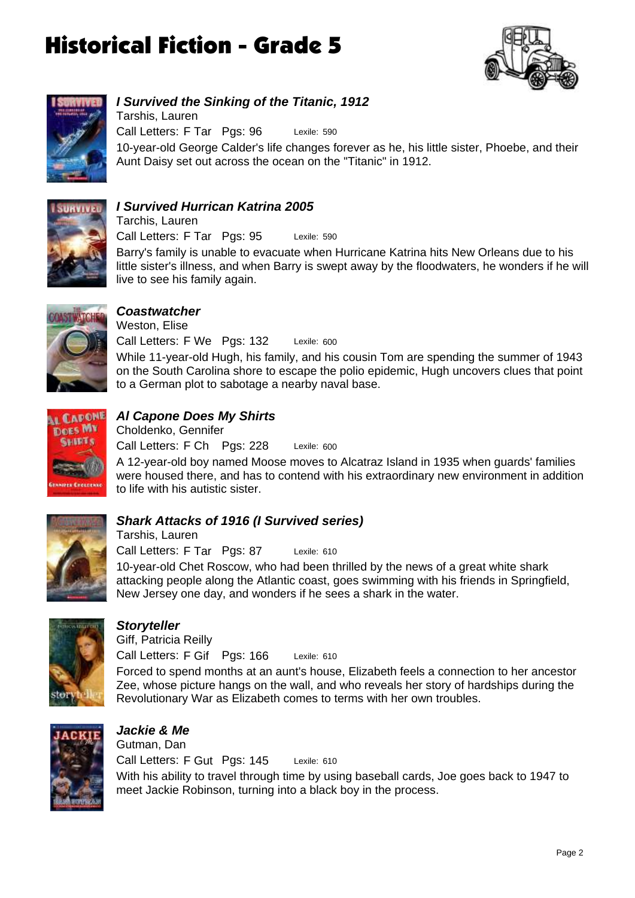![](_page_1_Picture_1.jpeg)

![](_page_1_Picture_2.jpeg)

### *I Survived the Sinking of the Titanic, 1912*

Lexile: 590 10-year-old George Calder's life changes forever as he, his little sister, Phoebe, and their Aunt Daisy set out across the ocean on the "Titanic" in 1912. Call Letters: F Tar Pgs: 96 Tarshis, Lauren

![](_page_1_Picture_5.jpeg)

#### *I Survived Hurrican Katrina 2005* Tarchis, Lauren

Lexile: 590 Barry's family is unable to evacuate when Hurricane Katrina hits New Orleans due to his little sister's illness, and when Barry is swept away by the floodwaters, he wonders if he will live to see his family again. Call Letters: F Tar Pgs: 95

![](_page_1_Picture_8.jpeg)

#### *Coastwatcher*

Lexile: 600 Call Letters: F We Pgs: 132 Weston, Elise

While 11-year-old Hugh, his family, and his cousin Tom are spending the summer of 1943 on the South Carolina shore to escape the polio epidemic, Hugh uncovers clues that point to a German plot to sabotage a nearby naval base.

![](_page_1_Picture_12.jpeg)

### *Al Capone Does My Shirts*

Lexile: 600 Call Letters: F Ch Pgs: 228 Choldenko, Gennifer

A 12-year-old boy named Moose moves to Alcatraz Island in 1935 when guards' families were housed there, and has to contend with his extraordinary new environment in addition to life with his autistic sister.

![](_page_1_Picture_16.jpeg)

#### *Shark Attacks of 1916 (I Survived series)*

Lexile: 610 10-year-old Chet Roscow, who had been thrilled by the news of a great white shark Call Letters: F Tar Pgs: 87 Tarshis, Lauren

attacking people along the Atlantic coast, goes swimming with his friends in Springfield, New Jersey one day, and wonders if he sees a shark in the water.

![](_page_1_Picture_20.jpeg)

#### *Storyteller*

Giff, Patricia Reilly

Lexile: 610 Call Letters: F Gif Pgs: 166

Forced to spend months at an aunt's house, Elizabeth feels a connection to her ancestor Zee, whose picture hangs on the wall, and who reveals her story of hardships during the Revolutionary War as Elizabeth comes to terms with her own troubles.

![](_page_1_Picture_25.jpeg)

## *Jackie & Me*

Lexile: 610 With his ability to travel through time by using baseball cards, Joe goes back to 1947 to meet Jackie Robinson, turning into a black boy in the process. Call Letters: F Gut Pgs: 145 Gutman, Dan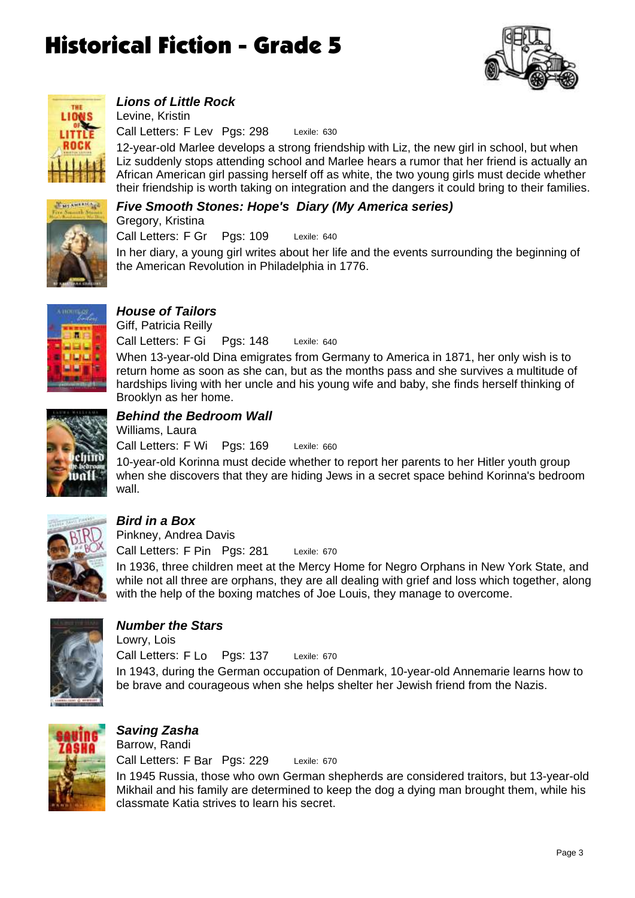![](_page_2_Picture_1.jpeg)

![](_page_2_Picture_2.jpeg)

#### *Lions of Little Rock*

Lexile: 630 Call Letters: F Lev Pgs: 298 Levine, Kristin

12-year-old Marlee develops a strong friendship with Liz, the new girl in school, but when Liz suddenly stops attending school and Marlee hears a rumor that her friend is actually an African American girl passing herself off as white, the two young girls must decide whether their friendship is worth taking on integration and the dangers it could bring to their families.

#### *Five Smooth Stones: Hope's Diary (My America series)* Gregory, Kristina

![](_page_2_Picture_7.jpeg)

Lexile: 640 Call Letters: F Gr Pgs: 109

In her diary, a young girl writes about her life and the events surrounding the beginning of the American Revolution in Philadelphia in 1776.

![](_page_2_Picture_10.jpeg)

### *House of Tailors*

Lexile: 640 When 13-year-old Dina emigrates from Germany to America in 1871, her only wish is to return home as soon as she can, but as the months pass and she survives a multitude of hardships living with her uncle and his young wife and baby, she finds herself thinking of Brooklyn as her home. Call Letters: F Gi Pgs: 148 Giff, Patricia Reilly

![](_page_2_Picture_13.jpeg)

### *Behind the Bedroom Wall*

Lexile: 660 Call Letters: F Wi Pgs: 169 Williams, Laura

10-year-old Korinna must decide whether to report her parents to her Hitler youth group when she discovers that they are hiding Jews in a secret space behind Korinna's bedroom wall.

![](_page_2_Picture_17.jpeg)

### *Bird in a Box*

Lexile: 670 Call Letters: F Pin Pgs: 281 Pinkney, Andrea Davis

In 1936, three children meet at the Mercy Home for Negro Orphans in New York State, and while not all three are orphans, they are all dealing with grief and loss which together, along with the help of the boxing matches of Joe Louis, they manage to overcome.

![](_page_2_Picture_21.jpeg)

## *Number the Stars*

Lexile: 670 In 1943, during the German occupation of Denmark, 10-year-old Annemarie learns how to be brave and courageous when she helps shelter her Jewish friend from the Nazis. Call Letters: F Lo Pgs: 137 Lowry, Lois

![](_page_2_Picture_24.jpeg)

#### *Saving Zasha* Lexile: 670 In 1945 Russia, those who own German shepherds are considered traitors, but 13-year-old Mikhail and his family are determined to keep the dog a dying man brought them, while his classmate Katia strives to learn his secret. Call Letters: F Bar Pgs: 229 Barrow, Randi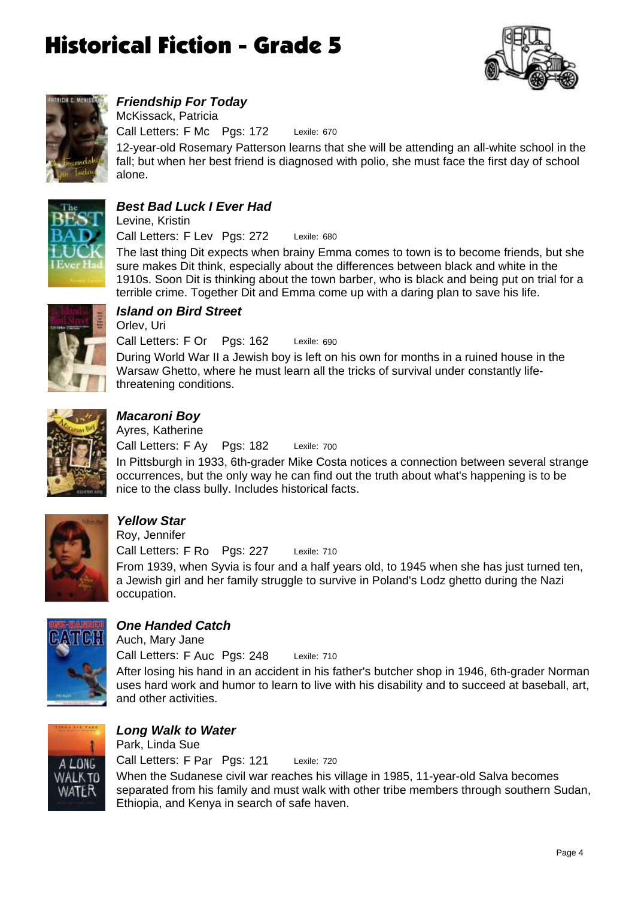![](_page_3_Picture_1.jpeg)

![](_page_3_Picture_2.jpeg)

### *Friendship For Today*

Lexile: 670 Call Letters: F Mc Pgs: 172 McKissack, Patricia

12-year-old Rosemary Patterson learns that she will be attending an all-white school in the fall; but when her best friend is diagnosed with polio, she must face the first day of school alone.

![](_page_3_Picture_6.jpeg)

### *Best Bad Luck I Ever Had*

Lexile: 680 Call Letters: F Lev Pgs: 272 Levine, Kristin

The last thing Dit expects when brainy Emma comes to town is to become friends, but she sure makes Dit think, especially about the differences between black and white in the 1910s. Soon Dit is thinking about the town barber, who is black and being put on trial for a terrible crime. Together Dit and Emma come up with a daring plan to save his life.

![](_page_3_Picture_10.jpeg)

## *Island on Bird Street*

Lexile: 690 Call Letters: F Or Pgs: 162 Orlev, Uri

During World War II a Jewish boy is left on his own for months in a ruined house in the Warsaw Ghetto, where he must learn all the tricks of survival under constantly lifethreatening conditions.

![](_page_3_Picture_14.jpeg)

## *Macaroni Boy*

Lexile: 700 Call Letters: F Ay Pgs: 182 Ayres, Katherine

In Pittsburgh in 1933, 6th-grader Mike Costa notices a connection between several strange occurrences, but the only way he can find out the truth about what's happening is to be nice to the class bully. Includes historical facts.

![](_page_3_Picture_18.jpeg)

## *Yellow Star*

Roy, Jennifer

Lexile: 710 Call Letters: F Ro Pgs: 227

From 1939, when Syvia is four and a half years old, to 1945 when she has just turned ten, a Jewish girl and her family struggle to survive in Poland's Lodz ghetto during the Nazi occupation.

![](_page_3_Picture_23.jpeg)

## *One Handed Catch*

Auch, Mary Jane

Lexile: 710 Call Letters: F Auc Pgs: 248

After losing his hand in an accident in his father's butcher shop in 1946, 6th-grader Norman uses hard work and humor to learn to live with his disability and to succeed at baseball, art, and other activities.

![](_page_3_Picture_28.jpeg)

#### *Long Walk to Water* Park, Linda Sue

Lexile: 720 When the Sudanese civil war reaches his village in 1985, 11-year-old Salva becomes separated from his family and must walk with other tribe members through southern Sudan, Ethiopia, and Kenya in search of safe haven. Call Letters: F Par Pgs: 121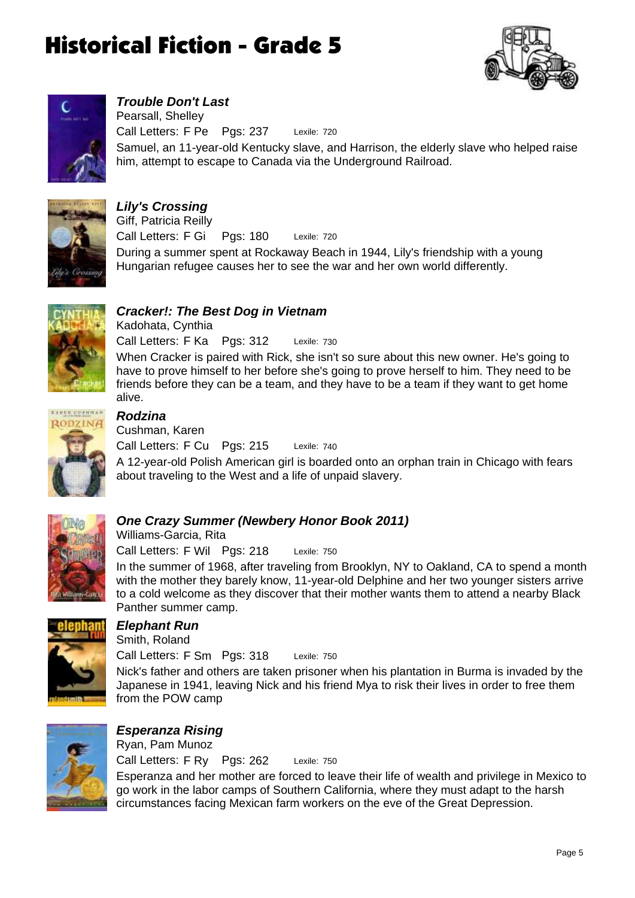![](_page_4_Picture_1.jpeg)

![](_page_4_Picture_2.jpeg)

#### *Trouble Don't Last*

Lexile: 720 Samuel, an 11-year-old Kentucky slave, and Harrison, the elderly slave who helped raise him, attempt to escape to Canada via the Underground Railroad. Call Letters: F Pe Pgs: 237 Pearsall, Shelley

![](_page_4_Picture_5.jpeg)

#### *Lily's Crossing* Lexile: 720 During a summer spent at Rockaway Beach in 1944, Lily's friendship with a young Hungarian refugee causes her to see the war and her own world differently. Call Letters: F Gi Pgs: 180 Giff, Patricia Reilly

![](_page_4_Picture_7.jpeg)

### *Cracker!: The Best Dog in Vietnam*

Lexile: 730 When Cracker is paired with Rick, she isn't so sure about this new owner. He's going to have to prove himself to her before she's going to prove herself to him. They need to be friends before they can be a team, and they have to be a team if they want to get home alive. Call Letters: F Ka Pgs: 312

![](_page_4_Picture_10.jpeg)

#### *Rodzina* Cushman, Karen

Kadohata, Cynthia

Lexile: 740 Call Letters: F Cu Pgs: 215

A 12-year-old Polish American girl is boarded onto an orphan train in Chicago with fears about traveling to the West and a life of unpaid slavery.

![](_page_4_Picture_14.jpeg)

### *One Crazy Summer (Newbery Honor Book 2011)*

Lexile: 750 Call Letters: F Wil Pgs: 218 Williams-Garcia, Rita

In the summer of 1968, after traveling from Brooklyn, NY to Oakland, CA to spend a month with the mother they barely know, 11-year-old Delphine and her two younger sisters arrive to a cold welcome as they discover that their mother wants them to attend a nearby Black Panther summer camp.

![](_page_4_Picture_18.jpeg)

### *Elephant Run*

Smith, Roland

Lexile: 750 Call Letters: F Sm Pgs: 318

Nick's father and others are taken prisoner when his plantation in Burma is invaded by the Japanese in 1941, leaving Nick and his friend Mya to risk their lives in order to free them from the POW camp

![](_page_4_Picture_23.jpeg)

## *Esperanza Rising*

Ryan, Pam Munoz

Lexile: 750 Esperanza and her mother are forced to leave their life of wealth and privilege in Mexico to go work in the labor camps of Southern California, where they must adapt to the harsh circumstances facing Mexican farm workers on the eve of the Great Depression. Call Letters: F Ry Pgs: 262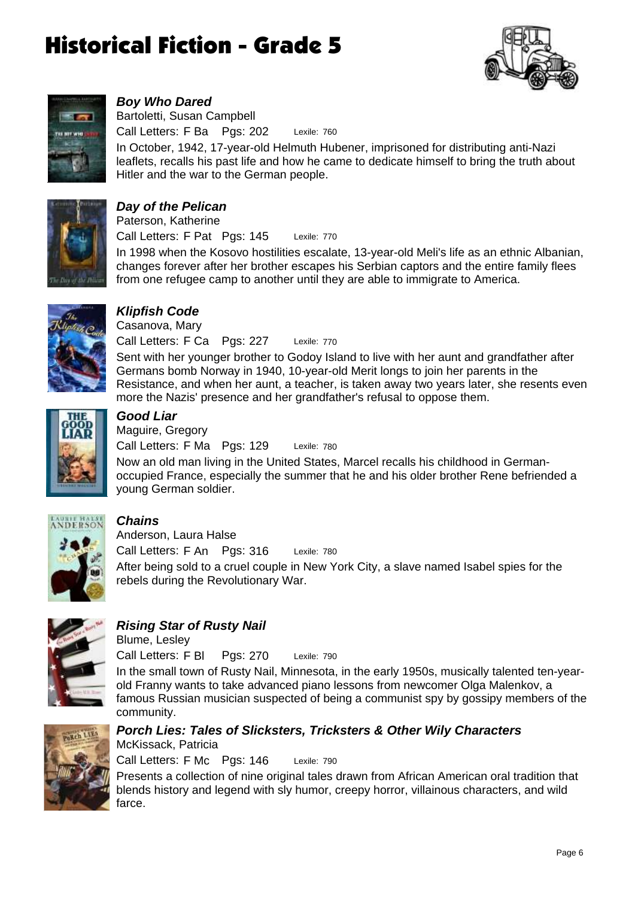![](_page_5_Picture_1.jpeg)

![](_page_5_Picture_2.jpeg)

#### *Boy Who Dared*

Lexile: 760 Call Letters: F Ba Pgs: 202 Bartoletti, Susan Campbell

In October, 1942, 17-year-old Helmuth Hubener, imprisoned for distributing anti-Nazi leaflets, recalls his past life and how he came to dedicate himself to bring the truth about Hitler and the war to the German people.

![](_page_5_Picture_6.jpeg)

#### *Day of the Pelican* Paterson, Katherine

Lexile: 770 In 1998 when the Kosovo hostilities escalate, 13-year-old Meli's life as an ethnic Albanian, changes forever after her brother escapes his Serbian captors and the entire family flees from one refugee camp to another until they are able to immigrate to America. Call Letters: F Pat Pgs: 145

![](_page_5_Picture_9.jpeg)

## *Klipfish Code*

Lexile: 770 Call Letters: F Ca Pgs: 227 Casanova, Mary

Sent with her younger brother to Godoy Island to live with her aunt and grandfather after Germans bomb Norway in 1940, 10-year-old Merit longs to join her parents in the Resistance, and when her aunt, a teacher, is taken away two years later, she resents even more the Nazis' presence and her grandfather's refusal to oppose them.

![](_page_5_Picture_13.jpeg)

## *Good Liar*

Lexile: 780 Call Letters: F Ma Pgs: 129 Maguire, Gregory

Now an old man living in the United States, Marcel recalls his childhood in Germanoccupied France, especially the summer that he and his older brother Rene befriended a young German soldier.

![](_page_5_Picture_17.jpeg)

## *Chains*

Lexile: 780 After being sold to a cruel couple in New York City, a slave named Isabel spies for the rebels during the Revolutionary War. Call Letters: F An Pgs: 316 Anderson, Laura Halse

![](_page_5_Picture_20.jpeg)

## *Rising Star of Rusty Nail*

Blume, Lesley

Lexile: 790 Call Letters: F Bl Pgs: 270

In the small town of Rusty Nail, Minnesota, in the early 1950s, musically talented ten-yearold Franny wants to take advanced piano lessons from newcomer Olga Malenkov, a famous Russian musician suspected of being a communist spy by gossipy members of the community.

![](_page_5_Picture_25.jpeg)

#### *Porch Lies: Tales of Slicksters, Tricksters & Other Wily Characters* McKissack, Patricia

Lexile: 790 Call Letters: F Mc Pgs: 146

Presents a collection of nine original tales drawn from African American oral tradition that blends history and legend with sly humor, creepy horror, villainous characters, and wild farce.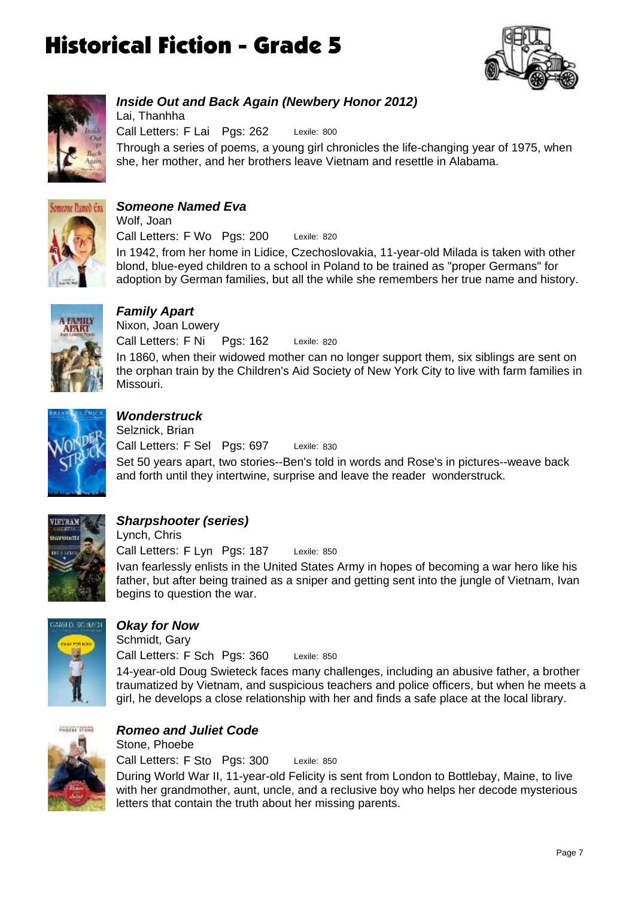![](_page_6_Picture_1.jpeg)

![](_page_6_Picture_2.jpeg)

#### *Inside Out and Back Again (Newbery Honor 2012)*

Lexile: 800 Through a series of poems, a young girl chronicles the life-changing year of 1975, when she, her mother, and her brothers leave Vietnam and resettle in Alabama. Call Letters: F Lai Pgs: 262 Lai, Thanhha

![](_page_6_Picture_5.jpeg)

### *Someone Named Eva*

Lexile: 820 In 1942, from her home in Lidice, Czechoslovakia, 11-year-old Milada is taken with other blond, blue-eyed children to a school in Poland to be trained as "proper Germans" for adoption by German families, but all the while she remembers her true name and history. Call Letters: F Wo Pgs: 200 Wolf, Joan

![](_page_6_Picture_8.jpeg)

#### *Family Apart*

Lexile: 820 In 1860, when their widowed mother can no longer support them, six siblings are sent on the orphan train by the Children's Aid Society of New York City to live with farm families in Missouri. Call Letters: F Ni Pgs: 162 Nixon, Joan Lowery

![](_page_6_Picture_11.jpeg)

### *Wonderstruck*

Lexile: 830 Set 50 years apart, two stories--Ben's told in words and Rose's in pictures--weave back and forth until they intertwine, surprise and leave the reader wonderstruck. Call Letters: F Sel Pgs: 697 Selznick, Brian

![](_page_6_Picture_14.jpeg)

### *Sharpshooter (series)*

Lexile: 850 Ivan fearlessly enlists in the United States Army in hopes of becoming a war hero like his father, but after being trained as a sniper and getting sent into the jungle of Vietnam, Ivan begins to question the war. Call Letters: F Lyn Pgs: 187 Lynch, Chris

![](_page_6_Picture_17.jpeg)

### *Okay for Now*

Stone, Phoebe

Schmidt, Gary

Lexile: 850 Call Letters: F Sch Pgs: 360

14-year-old Doug Swieteck faces many challenges, including an abusive father, a brother traumatized by Vietnam, and suspicious teachers and police officers, but when he meets a girl, he develops a close relationship with her and finds a safe place at the local library.

![](_page_6_Picture_22.jpeg)

## *Romeo and Juliet Code*

Lexile: 850 During World War II, 11-year-old Felicity is sent from London to Bottlebay, Maine, to live with her grandmother, aunt, uncle, and a reclusive boy who helps her decode mysterious letters that contain the truth about her missing parents. Call Letters: F Sto Pgs: 300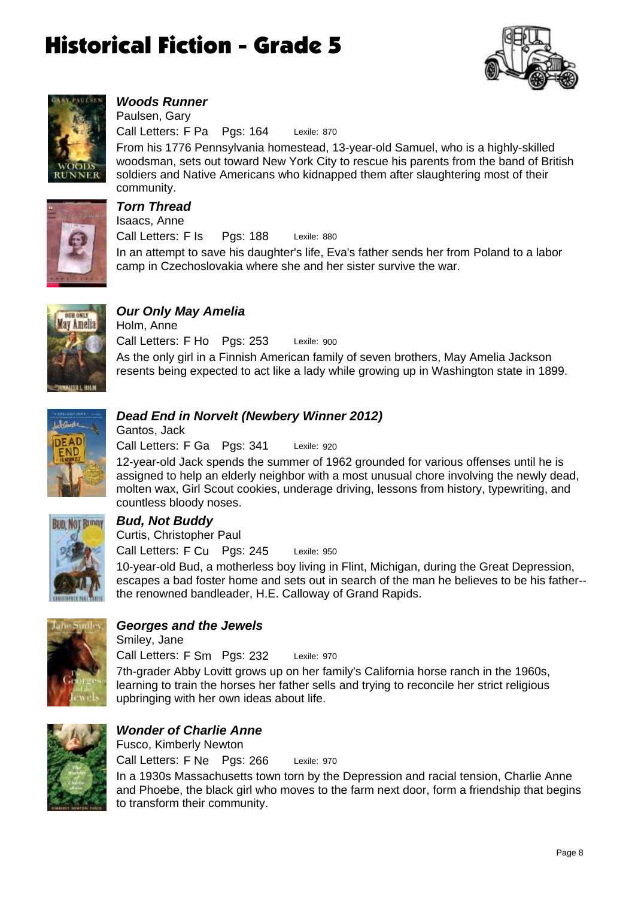![](_page_7_Picture_1.jpeg)

![](_page_7_Picture_2.jpeg)

#### *Woods Runner*

Lexile: 870 Call Letters: F Pa Pgs: 164 Paulsen, Gary

From his 1776 Pennsylvania homestead, 13-year-old Samuel, who is a highly-skilled woodsman, sets out toward New York City to rescue his parents from the band of British soldiers and Native Americans who kidnapped them after slaughtering most of their community.

![](_page_7_Picture_6.jpeg)

### *Torn Thread* Isaacs, Anne

Lexile: 880 In an attempt to save his daughter's life, Eva's father sends her from Poland to a labor camp in Czechoslovakia where she and her sister survive the war. Call Letters: F Is Pgs: 188

![](_page_7_Picture_9.jpeg)

## *Our Only May Amelia*

Lexile: 900 As the only girl in a Finnish American family of seven brothers, May Amelia Jackson resents being expected to act like a lady while growing up in Washington state in 1899. Call Letters: F Ho Pgs: 253 Holm, Anne

![](_page_7_Picture_12.jpeg)

### *Dead End in Norvelt (Newbery Winner 2012)*

Lexile: 920 Call Letters: F Ga Pgs: 341 Gantos, Jack

12-year-old Jack spends the summer of 1962 grounded for various offenses until he is assigned to help an elderly neighbor with a most unusual chore involving the newly dead, molten wax, Girl Scout cookies, underage driving, lessons from history, typewriting, and countless bloody noses.

![](_page_7_Picture_16.jpeg)

## *Bud, Not Buddy*

Lexile: 950 Call Letters: F Cu Pgs: 245 Curtis, Christopher Paul

10-year-old Bud, a motherless boy living in Flint, Michigan, during the Great Depression, escapes a bad foster home and sets out in search of the man he believes to be his father- the renowned bandleader, H.E. Calloway of Grand Rapids.

![](_page_7_Picture_20.jpeg)

### *Georges and the Jewels*

Lexile: 970 Call Letters: F Sm Pgs: 232 Smiley, Jane

7th-grader Abby Lovitt grows up on her family's California horse ranch in the 1960s, learning to train the horses her father sells and trying to reconcile her strict religious upbringing with her own ideas about life.

![](_page_7_Picture_24.jpeg)

#### *Wonder of Charlie Anne* Fusco, Kimberly Newton

Lexile: 970 In a 1930s Massachusetts town torn by the Depression and racial tension, Charlie Anne and Phoebe, the black girl who moves to the farm next door, form a friendship that begins to transform their community. Call Letters: F Ne Pgs: 266